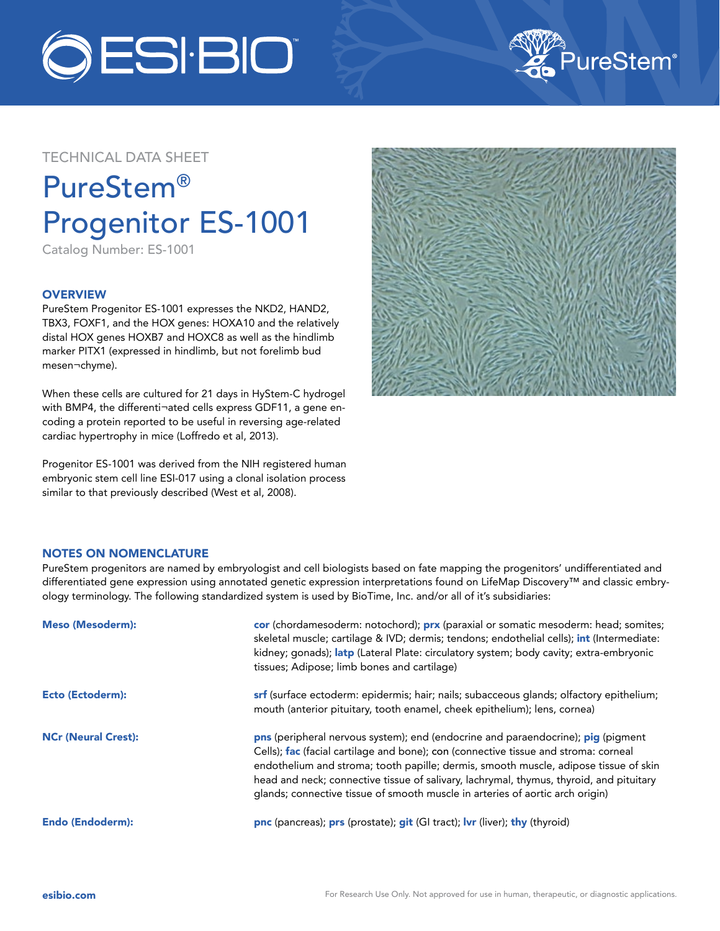



# TECHNICAL DATA SHEET

# PureStem® Progenitor ES-1001

Catalog Number: ES-1001

## **OVERVIEW**

PureStem Progenitor ES-1001 expresses the NKD2, HAND2, TBX3, FOXF1, and the HOX genes: HOXA10 and the relatively distal HOX genes HOXB7 and HOXC8 as well as the hindlimb marker PITX1 (expressed in hindlimb, but not forelimb bud mesen¬chyme).

When these cells are cultured for 21 days in HyStem-C hydrogel with BMP4, the differenti¬ated cells express GDF11, a gene encoding a protein reported to be useful in reversing age-related cardiac hypertrophy in mice (Loffredo et al, 2013).

Progenitor ES-1001 was derived from the NIH registered human embryonic stem cell line ESI-017 using a clonal isolation process similar to that previously described (West et al, 2008).



### NOTES ON NOMENCLATURE

PureStem progenitors are named by embryologist and cell biologists based on fate mapping the progenitors' undifferentiated and differentiated gene expression using annotated genetic expression interpretations found on LifeMap Discovery™ and classic embryology terminology. The following standardized system is used by BioTime, Inc. and/or all of it's subsidiaries:

| <b>Meso (Mesoderm):</b>    | cor (chordamesoderm: notochord); prx (paraxial or somatic mesoderm: head; somites;<br>skeletal muscle; cartilage & IVD; dermis; tendons; endothelial cells); int (Intermediate:<br>kidney; gonads); latp (Lateral Plate: circulatory system; body cavity; extra-embryonic<br>tissues; Adipose; limb bones and cartilage)                                                                                                                    |
|----------------------------|---------------------------------------------------------------------------------------------------------------------------------------------------------------------------------------------------------------------------------------------------------------------------------------------------------------------------------------------------------------------------------------------------------------------------------------------|
| <b>Ecto (Ectoderm):</b>    | srf (surface ectoderm: epidermis; hair; nails; subacceous glands; olfactory epithelium;<br>mouth (anterior pituitary, tooth enamel, cheek epithelium); lens, cornea)                                                                                                                                                                                                                                                                        |
| <b>NCr (Neural Crest):</b> | pns (peripheral nervous system); end (endocrine and paraendocrine); pig (pigment<br>Cells); fac (facial cartilage and bone); con (connective tissue and stroma: corneal<br>endothelium and stroma; tooth papille; dermis, smooth muscle, adipose tissue of skin<br>head and neck; connective tissue of salivary, lachrymal, thymus, thyroid, and pituitary<br>glands; connective tissue of smooth muscle in arteries of aortic arch origin) |
| <b>Endo (Endoderm):</b>    | pnc (pancreas); prs (prostate); git (GI tract); Ivr (liver); thy (thyroid)                                                                                                                                                                                                                                                                                                                                                                  |